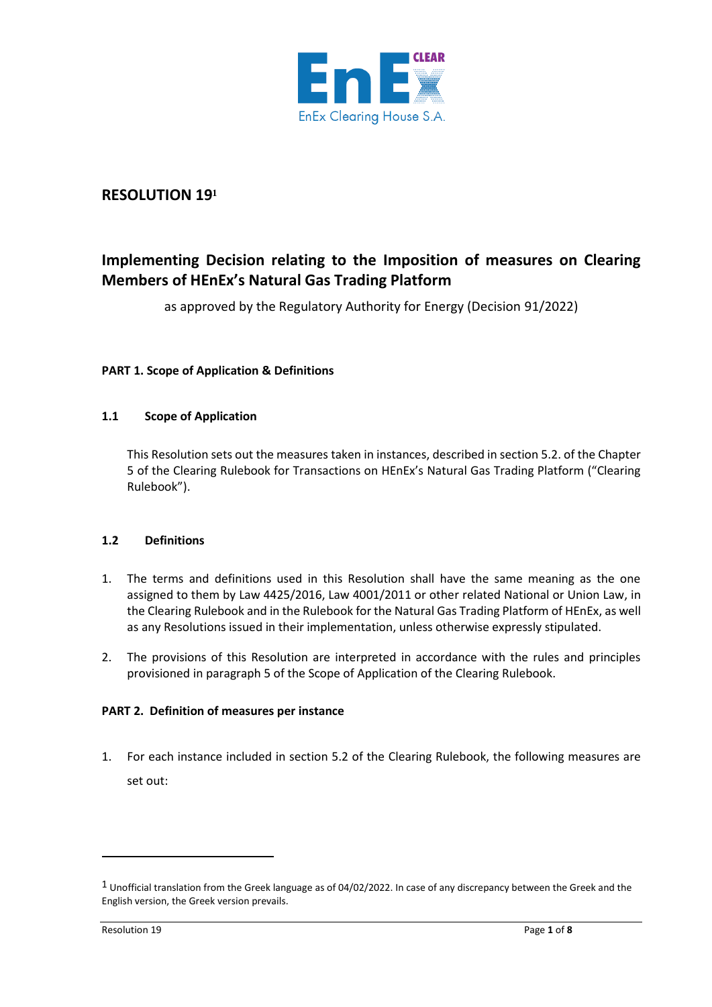

## **RESOLUTION 19<sup>1</sup>**

# **Implementing Decision relating to the Imposition of measures on Clearing Members of HEnEx's Natural Gas Trading Platform**

as approved by the Regulatory Authority for Energy (Decision 91/2022)

### **PART 1. Scope of Application & Definitions**

#### **1.1 Scope of Application**

This Resolution sets out the measures taken in instances, described in section 5.2. of the Chapter 5 of the Clearing Rulebook for Transactions on HEnEx's Natural Gas Trading Platform ("Clearing Rulebook").

#### **1.2 Definitions**

- 1. The terms and definitions used in this Resolution shall have the same meaning as the one assigned to them by Law 4425/2016, Law 4001/2011 or other related National or Union Law, in the Clearing Rulebook and in the Rulebook for the Natural Gas Trading Platform of HEnEx, as well as any Resolutions issued in their implementation, unless otherwise expressly stipulated.
- 2. The provisions of this Resolution are interpreted in accordance with the rules and principles provisioned in paragraph 5 of the Scope of Application of the Clearing Rulebook.

#### **PART 2. Definition of measures per instance**

1. For each instance included in section 5.2 of the Clearing Rulebook, the following measures are set out:

 $1$  Unofficial translation from the Greek language as of 04/02/2022. In case of any discrepancy between the Greek and the English version, the Greek version prevails.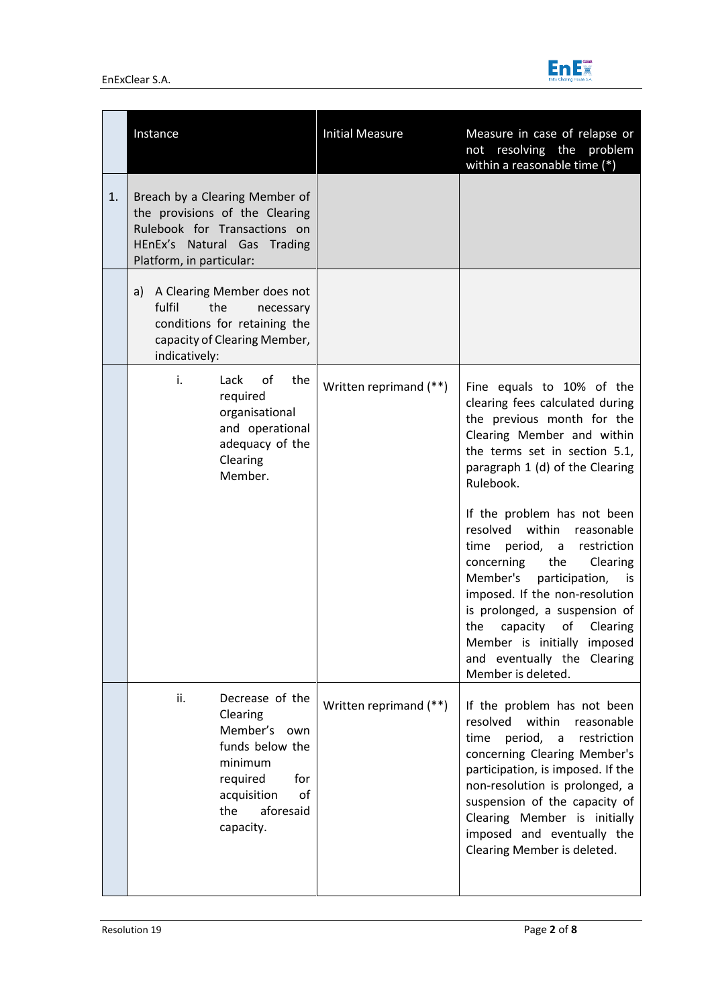

|    | Instance                                                                                                                                                    | <b>Initial Measure</b> | Measure in case of relapse or<br>not resolving the problem<br>within a reasonable time (*)                                                                                                                                                                                                                                                                            |
|----|-------------------------------------------------------------------------------------------------------------------------------------------------------------|------------------------|-----------------------------------------------------------------------------------------------------------------------------------------------------------------------------------------------------------------------------------------------------------------------------------------------------------------------------------------------------------------------|
| 1. | Breach by a Clearing Member of<br>the provisions of the Clearing<br>Rulebook for Transactions on<br>HEnEx's Natural Gas Trading<br>Platform, in particular: |                        |                                                                                                                                                                                                                                                                                                                                                                       |
|    | a) A Clearing Member does not<br>fulfil<br>the<br>necessary<br>conditions for retaining the<br>capacity of Clearing Member,<br>indicatively:                |                        |                                                                                                                                                                                                                                                                                                                                                                       |
|    | i.<br>Lack<br>of<br>the<br>required<br>organisational<br>and operational<br>adequacy of the<br>Clearing<br>Member.                                          | Written reprimand (**) | Fine equals to 10% of the<br>clearing fees calculated during<br>the previous month for the<br>Clearing Member and within<br>the terms set in section 5.1,<br>paragraph 1 (d) of the Clearing<br>Rulebook.                                                                                                                                                             |
|    |                                                                                                                                                             |                        | If the problem has not been<br>resolved<br>within<br>reasonable<br>period, a<br>restriction<br>time<br>concerning<br>the<br>Clearing<br>Member's<br>participation,<br>is.<br>imposed. If the non-resolution<br>is prolonged, a suspension of<br>capacity<br>of<br>the<br>Clearing<br>Member is initially imposed<br>and eventually the Clearing<br>Member is deleted. |
|    | ii.<br>Decrease of the<br>Clearing<br>Member's own<br>funds below the<br>minimum<br>required<br>for<br>of<br>acquisition<br>aforesaid<br>the<br>capacity.   | Written reprimand (**) | If the problem has not been<br>resolved<br>within<br>reasonable<br>period, a<br>restriction<br>time<br>concerning Clearing Member's<br>participation, is imposed. If the<br>non-resolution is prolonged, a<br>suspension of the capacity of<br>Clearing Member is initially<br>imposed and eventually the<br>Clearing Member is deleted.                              |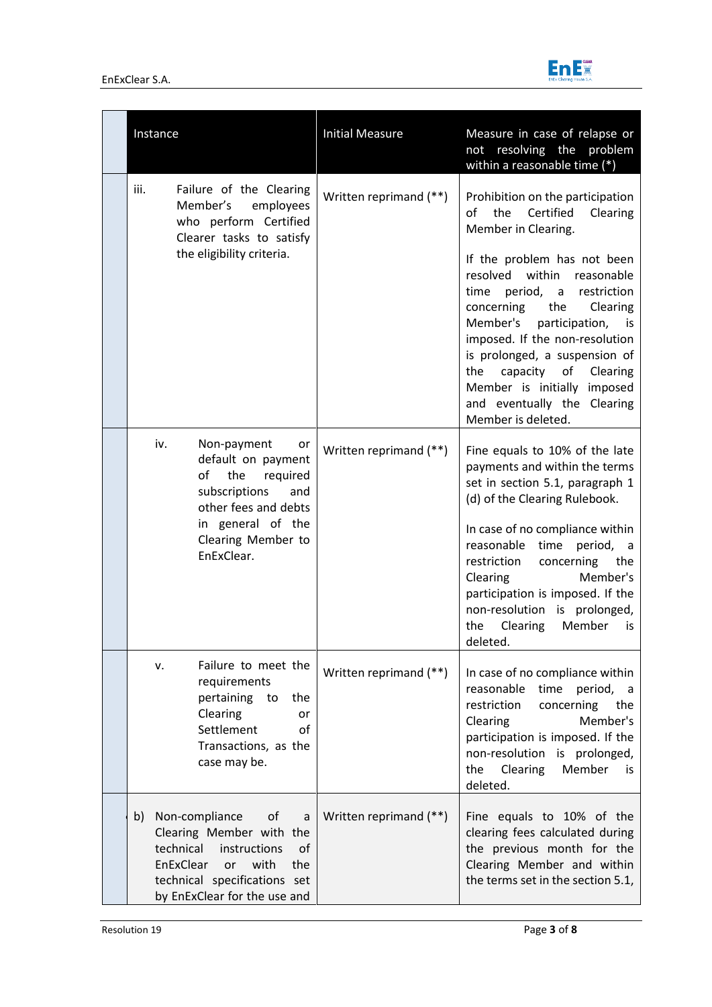

| Instance                                                                                                                                                                                   | <b>Initial Measure</b> | Measure in case of relapse or<br>not resolving the problem<br>within a reasonable time (*)                                                                                                                                                                                                                                                                                                                                                                   |
|--------------------------------------------------------------------------------------------------------------------------------------------------------------------------------------------|------------------------|--------------------------------------------------------------------------------------------------------------------------------------------------------------------------------------------------------------------------------------------------------------------------------------------------------------------------------------------------------------------------------------------------------------------------------------------------------------|
| iii.<br>Failure of the Clearing<br>Member's<br>employees<br>who perform Certified<br>Clearer tasks to satisfy<br>the eligibility criteria.                                                 | Written reprimand (**) | Prohibition on the participation<br>the<br>Certified<br>Clearing<br>οf<br>Member in Clearing.<br>If the problem has not been<br>resolved within<br>reasonable<br>period, a<br>restriction<br>time<br>concerning<br>Clearing<br>the<br>Member's participation, is<br>imposed. If the non-resolution<br>is prolonged, a suspension of<br>capacity<br>the<br>of<br>Clearing<br>Member is initially imposed<br>and eventually the Clearing<br>Member is deleted. |
| iv.<br>Non-payment<br>or<br>default on payment<br>of the<br>required<br>subscriptions<br>and<br>other fees and debts<br>in general of the<br>Clearing Member to<br>EnExClear.              | Written reprimand (**) | Fine equals to 10% of the late<br>payments and within the terms<br>set in section 5.1, paragraph 1<br>(d) of the Clearing Rulebook.<br>In case of no compliance within<br>reasonable time<br>period, a<br>restriction<br>concerning<br>the<br>Clearing<br>Member's<br>participation is imposed. If the<br>non-resolution is prolonged,<br>Clearing<br>Member<br>the<br>is<br>deleted.                                                                        |
| Failure to meet the<br>v.<br>requirements<br>pertaining to<br>the<br>Clearing<br>or<br>Settlement<br>of<br>Transactions, as the<br>case may be.                                            | Written reprimand (**) | In case of no compliance within<br>reasonable<br>time<br>period, a<br>concerning<br>restriction<br>the<br>Member's<br><b>Clearing</b><br>participation is imposed. If the<br>non-resolution is prolonged,<br>Clearing<br>Member<br>the<br>is.<br>deleted.                                                                                                                                                                                                    |
| of<br>b) Non-compliance<br>a<br>Clearing Member with the<br>technical instructions<br>of<br>EnExClear<br>with<br>the<br>or<br>technical specifications set<br>by EnExClear for the use and | Written reprimand (**) | Fine equals to 10% of the<br>clearing fees calculated during<br>the previous month for the<br>Clearing Member and within<br>the terms set in the section 5.1,                                                                                                                                                                                                                                                                                                |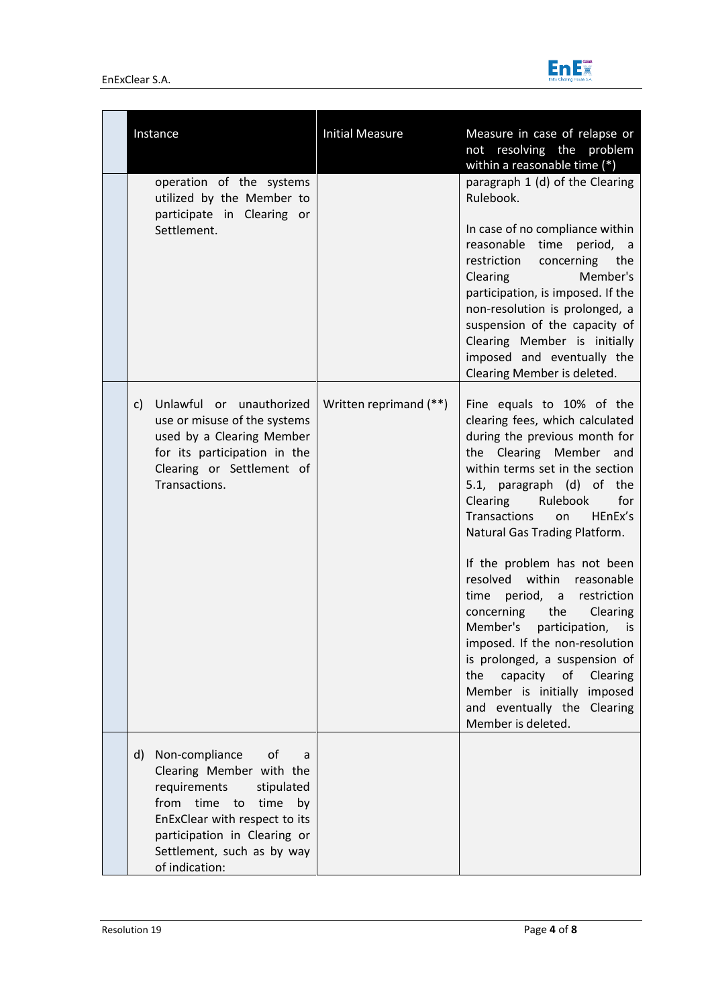

| Instance                                                                                                                                                                                                                                       | <b>Initial Measure</b> | Measure in case of relapse or<br>not resolving the problem<br>within a reasonable time (*)                                                                                                                                                                                                                                                                                                                                                                                                                                                                                                                                                                      |
|------------------------------------------------------------------------------------------------------------------------------------------------------------------------------------------------------------------------------------------------|------------------------|-----------------------------------------------------------------------------------------------------------------------------------------------------------------------------------------------------------------------------------------------------------------------------------------------------------------------------------------------------------------------------------------------------------------------------------------------------------------------------------------------------------------------------------------------------------------------------------------------------------------------------------------------------------------|
| operation of the systems<br>utilized by the Member to<br>participate in Clearing or<br>Settlement.                                                                                                                                             |                        | paragraph 1 (d) of the Clearing<br>Rulebook.<br>In case of no compliance within<br>reasonable time<br>period, a<br>restriction concerning<br>the<br>Member's<br>Clearing<br>participation, is imposed. If the<br>non-resolution is prolonged, a<br>suspension of the capacity of<br>Clearing Member is initially<br>imposed and eventually the<br>Clearing Member is deleted.                                                                                                                                                                                                                                                                                   |
| Unlawful or unauthorized<br>c)<br>use or misuse of the systems<br>used by a Clearing Member<br>for its participation in the<br>Clearing or Settlement of<br>Transactions.                                                                      | Written reprimand (**) | Fine equals to 10% of the<br>clearing fees, which calculated<br>during the previous month for<br>the Clearing Member and<br>within terms set in the section<br>5.1, paragraph (d) of the<br>Rulebook<br>for<br>Clearing<br><b>Transactions</b><br>HEnEx's<br>on<br>Natural Gas Trading Platform.<br>If the problem has not been<br>resolved within reasonable<br>period, a<br>restriction<br>time<br>concerning<br>the<br>Clearing<br>Member's<br>participation, is<br>imposed. If the non-resolution<br>is prolonged, a suspension of<br>capacity<br>of<br>the<br>Clearing<br>Member is initially imposed<br>and eventually the Clearing<br>Member is deleted. |
| Non-compliance<br>of<br>d)<br>a<br>Clearing Member with the<br>requirements<br>stipulated<br>time<br>from<br>time<br>to<br>by<br>EnExClear with respect to its<br>participation in Clearing or<br>Settlement, such as by way<br>of indication: |                        |                                                                                                                                                                                                                                                                                                                                                                                                                                                                                                                                                                                                                                                                 |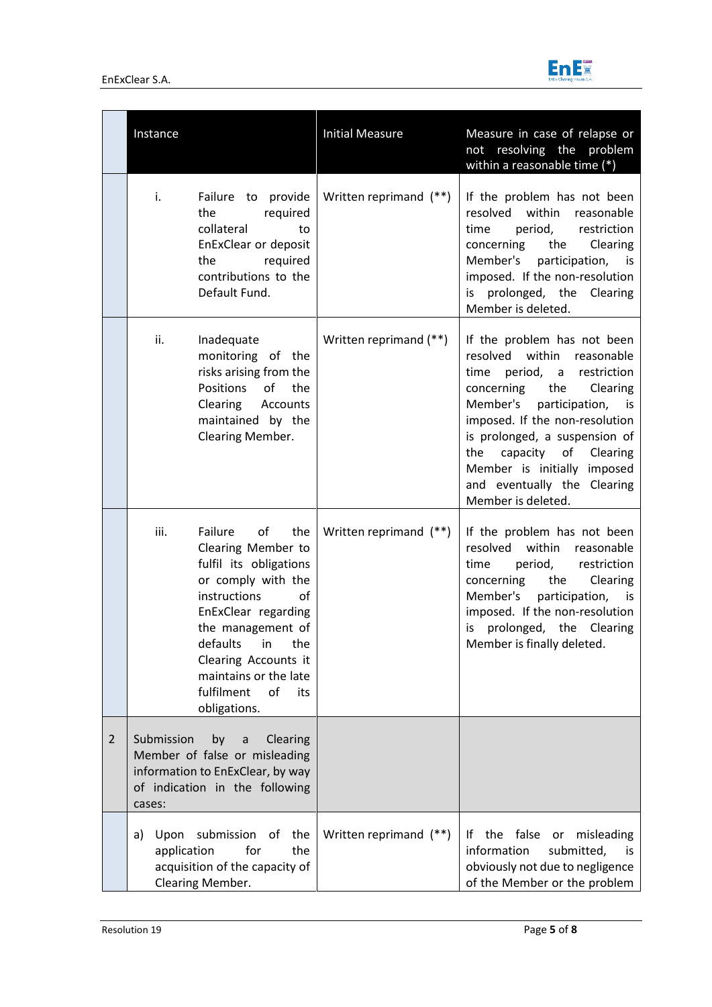

|                | Instance                  |                                                                                                                                                                                                                                                                                   | <b>Initial Measure</b> | Measure in case of relapse or<br>not resolving the problem<br>within a reasonable time (*)                                                                                                                                                                                                                                                      |
|----------------|---------------------------|-----------------------------------------------------------------------------------------------------------------------------------------------------------------------------------------------------------------------------------------------------------------------------------|------------------------|-------------------------------------------------------------------------------------------------------------------------------------------------------------------------------------------------------------------------------------------------------------------------------------------------------------------------------------------------|
|                | i.                        | Failure to provide<br>the<br>required<br>collateral<br>to<br>EnExClear or deposit<br>the required<br>contributions to the<br>Default Fund.                                                                                                                                        | Written reprimand (**) | If the problem has not been<br>resolved within<br>reasonable<br>period,<br>restriction<br>time<br>concerning<br>the<br>Clearing<br>Member's participation, is<br>imposed. If the non-resolution<br>is prolonged, the Clearing<br>Member is deleted.                                                                                             |
|                | ii.                       | Inadequate<br>monitoring of the<br>risks arising from the<br>Positions<br>of the<br>Clearing Accounts<br>maintained by the<br>Clearing Member.                                                                                                                                    | Written reprimand (**) | If the problem has not been<br>resolved within reasonable<br>period, a restriction<br>time<br>concerning the<br>Clearing<br>Member's participation, is<br>imposed. If the non-resolution<br>is prolonged, a suspension of<br>capacity<br>the<br>of Clearing<br>Member is initially imposed<br>and eventually the Clearing<br>Member is deleted. |
|                | iii.                      | Failure<br>of<br>the<br>Clearing Member to<br>fulfil its obligations<br>or comply with the<br>instructions<br>οf<br>EnExClear regarding<br>the management of<br>defaults<br>in<br>the<br>Clearing Accounts it<br>maintains or the late<br>of<br>fulfilment<br>its<br>obligations. | Written reprimand (**) | If the problem has not been<br>resolved within reasonable<br>time<br>period, restriction<br>the<br>Clearing<br>concerning<br>Member's<br>participation, is<br>imposed. If the non-resolution<br>is prolonged, the Clearing<br>Member is finally deleted.                                                                                        |
| $\overline{2}$ | Submission<br>cases:      | by<br>Clearing<br>a<br>Member of false or misleading<br>information to EnExClear, by way<br>of indication in the following                                                                                                                                                        |                        |                                                                                                                                                                                                                                                                                                                                                 |
|                | Upon<br>a)<br>application | submission<br>of<br>the<br>for<br>the<br>acquisition of the capacity of<br>Clearing Member.                                                                                                                                                                                       | Written reprimand (**) | the false<br>misleading<br>١f<br>or<br>information<br>submitted,<br>is<br>obviously not due to negligence<br>of the Member or the problem                                                                                                                                                                                                       |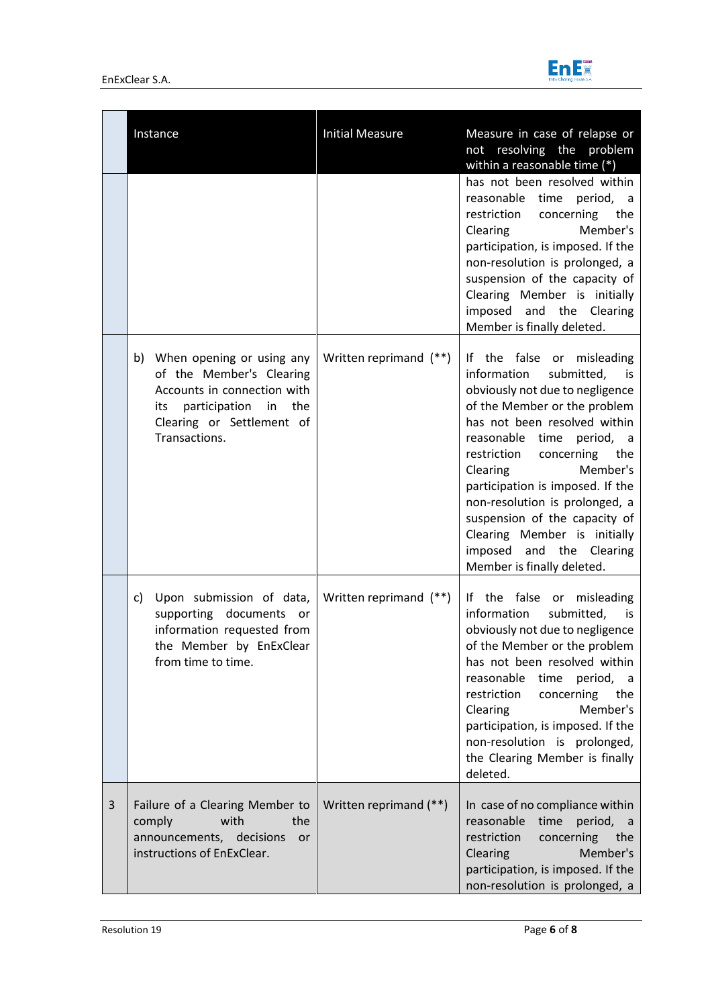

|   | Instance                                                                                                                                                          | <b>Initial Measure</b> | Measure in case of relapse or<br>not resolving the problem<br>within a reasonable time (*)<br>has not been resolved within<br>reasonable time period, a<br>concerning<br>restriction<br>the<br>Member's<br>Clearing<br>participation, is imposed. If the<br>non-resolution is prolonged, a<br>suspension of the capacity of<br>Clearing Member is initially<br>imposed and the Clearing                                                                                                        |
|---|-------------------------------------------------------------------------------------------------------------------------------------------------------------------|------------------------|------------------------------------------------------------------------------------------------------------------------------------------------------------------------------------------------------------------------------------------------------------------------------------------------------------------------------------------------------------------------------------------------------------------------------------------------------------------------------------------------|
|   | b) When opening or using any<br>of the Member's Clearing<br>Accounts in connection with<br>its participation in the<br>Clearing or Settlement of<br>Transactions. | Written reprimand (**) | Member is finally deleted.<br>If the false or misleading<br>submitted,<br>information<br>is is<br>obviously not due to negligence<br>of the Member or the problem<br>has not been resolved within<br>reasonable time<br>period, a<br>restriction<br>concerning<br>the<br>Member's<br>Clearing<br>participation is imposed. If the<br>non-resolution is prolonged, a<br>suspension of the capacity of<br>Clearing Member is initially<br>imposed and the Clearing<br>Member is finally deleted. |
|   | Upon submission of data,<br>c)<br>supporting documents<br>or<br>information requested from<br>the Member by EnExClear<br>from time to time.                       | Written reprimand (**) | If the false or misleading<br>information<br>submitted,<br>is is<br>obviously not due to negligence<br>of the Member or the problem<br>has not been resolved within<br>reasonable time<br>period, a<br>concerning<br>the<br>restriction<br>Member's<br>Clearing<br>participation, is imposed. If the<br>non-resolution is prolonged,<br>the Clearing Member is finally<br>deleted.                                                                                                             |
| 3 | Failure of a Clearing Member to<br>with<br>the<br>comply<br>announcements, decisions<br>or<br>instructions of EnExClear.                                          | Written reprimand (**) | In case of no compliance within<br>reasonable time<br>period, a<br>restriction<br>concerning<br>the<br>Member's<br>Clearing<br>participation, is imposed. If the<br>non-resolution is prolonged, a                                                                                                                                                                                                                                                                                             |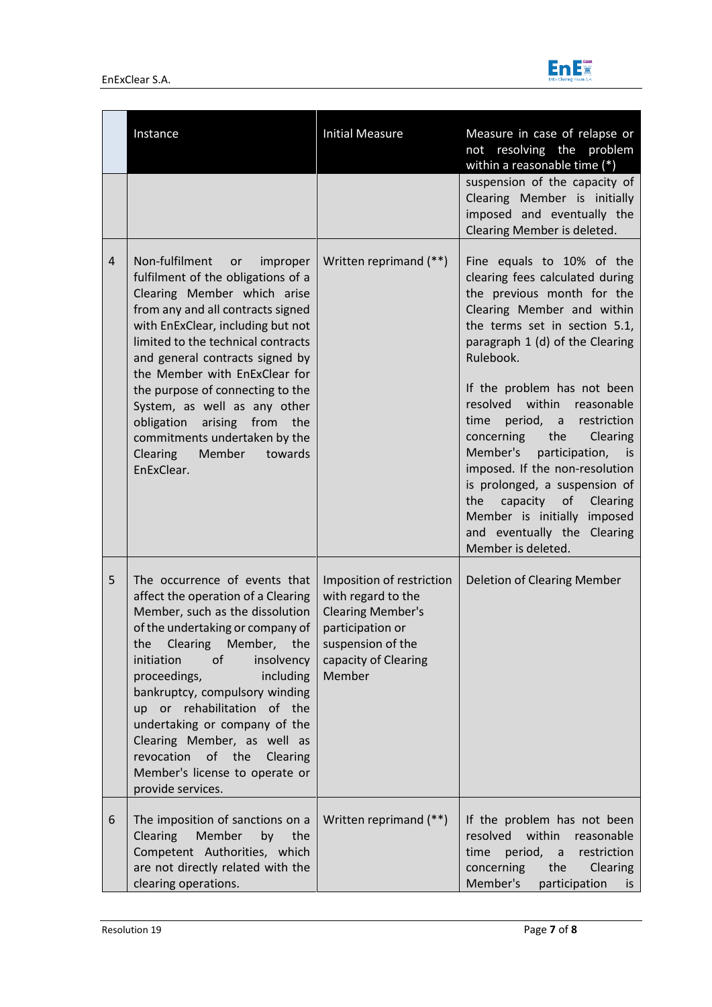

|                | Instance                                                                                                                                                                                                                                                                                                                                                                                                                                                                        | <b>Initial Measure</b>                                                                                                                                 | Measure in case of relapse or<br>not resolving the problem<br>within a reasonable time (*)                                                                                                                                                                                                                                                                                                                                                                                                                                                                                  |
|----------------|---------------------------------------------------------------------------------------------------------------------------------------------------------------------------------------------------------------------------------------------------------------------------------------------------------------------------------------------------------------------------------------------------------------------------------------------------------------------------------|--------------------------------------------------------------------------------------------------------------------------------------------------------|-----------------------------------------------------------------------------------------------------------------------------------------------------------------------------------------------------------------------------------------------------------------------------------------------------------------------------------------------------------------------------------------------------------------------------------------------------------------------------------------------------------------------------------------------------------------------------|
|                |                                                                                                                                                                                                                                                                                                                                                                                                                                                                                 |                                                                                                                                                        | suspension of the capacity of<br>Clearing Member is initially<br>imposed and eventually the<br>Clearing Member is deleted.                                                                                                                                                                                                                                                                                                                                                                                                                                                  |
| $\overline{4}$ | Non-fulfilment<br>or<br>improper<br>fulfilment of the obligations of a<br>Clearing Member which arise<br>from any and all contracts signed<br>with EnExClear, including but not<br>limited to the technical contracts<br>and general contracts signed by<br>the Member with EnExClear for<br>the purpose of connecting to the<br>System, as well as any other<br>obligation<br>arising from the<br>commitments undertaken by the<br>Clearing<br>Member<br>towards<br>EnExClear. | Written reprimand (**)                                                                                                                                 | Fine equals to 10% of the<br>clearing fees calculated during<br>the previous month for the<br>Clearing Member and within<br>the terms set in section 5.1,<br>paragraph 1 (d) of the Clearing<br>Rulebook.<br>If the problem has not been<br>resolved within reasonable<br>period, a<br>restriction<br>time<br>concerning<br>the<br>Clearing<br>Member's<br>participation,<br>is<br>imposed. If the non-resolution<br>is prolonged, a suspension of<br>capacity<br>Clearing<br>the<br>of<br>Member is initially imposed<br>and eventually the Clearing<br>Member is deleted. |
| 5              | The occurrence of events that<br>affect the operation of a Clearing<br>Member, such as the dissolution<br>of the undertaking or company of<br>Clearing<br>the<br>Member, the<br>initiation<br>of<br>insolvency<br>proceedings,<br>including<br>bankruptcy, compulsory winding<br>up or rehabilitation of the<br>undertaking or company of the<br>Clearing Member, as well as<br>revocation of the<br>Clearing<br>Member's license to operate or<br>provide services.            | Imposition of restriction<br>with regard to the<br><b>Clearing Member's</b><br>participation or<br>suspension of the<br>capacity of Clearing<br>Member | Deletion of Clearing Member                                                                                                                                                                                                                                                                                                                                                                                                                                                                                                                                                 |
| 6              | The imposition of sanctions on a<br>Clearing<br>Member<br>by<br>the<br>Competent Authorities, which<br>are not directly related with the<br>clearing operations.                                                                                                                                                                                                                                                                                                                | Written reprimand (**)                                                                                                                                 | If the problem has not been<br>resolved<br>within<br>reasonable<br>period,<br>time<br>restriction<br>$\alpha$<br>concerning<br>the<br><b>Clearing</b><br>Member's<br>participation<br>is.                                                                                                                                                                                                                                                                                                                                                                                   |